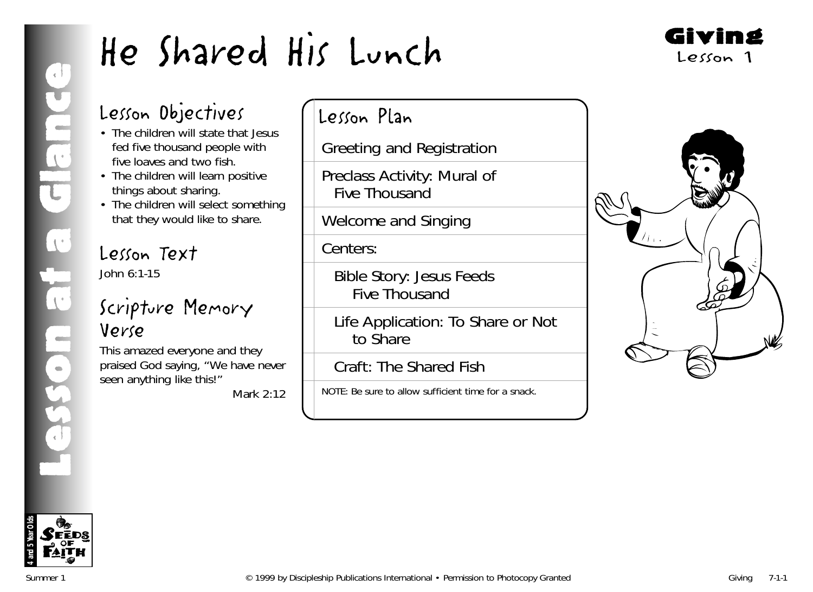

# Lesson Objectives

- The children will state that Jesus fed five thousand people with five loaves and two fish.
- The children will learn positive things about sharing.
- The children will select something that they would like to share.

# Lesson Text John 6:1-15

# Scripture Memory Verse

This amazed everyone and they praised God saying, "We have never seen anything like this!"

*Mark 2:12*

# Lesson Plan

Greeting and Registration

Preclass Activity: Mural of Five Thousand

Welcome and Singing

Centers:

Bible Story: Jesus Feeds Five Thousand

Life Application: To Share or Not to Share

Craft: The Shared Fish

NOTE: Be sure to allow sufficient time for a snack.



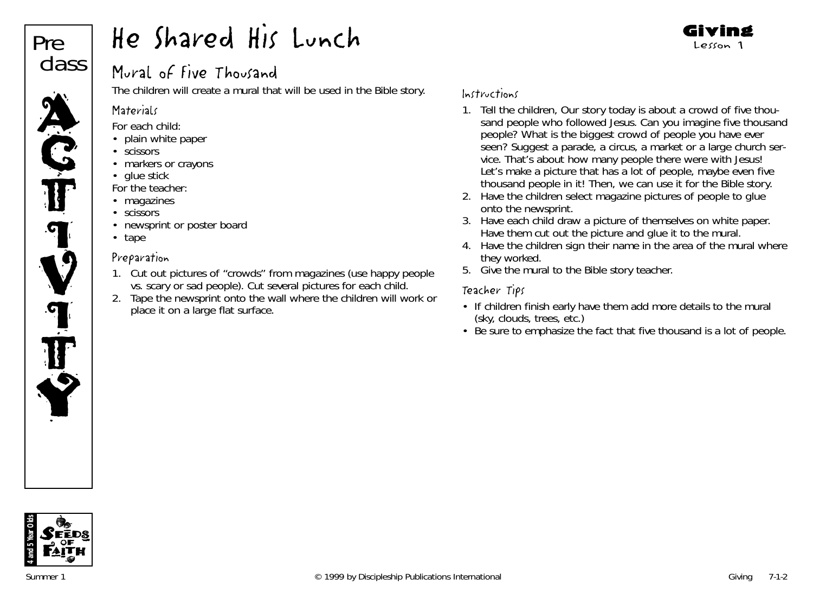# Pre class

H CJ

<u>q</u>

V

**T** 

T

Y

# He Shared His Lunch

# Mural of Five Thousand

The children will create a mural that will be used in the Bible story.

### **Materials**

*For each child:*

- plain white paper
- scissors
- markers or crayons
- glue stick

*For the teacher:*

- magazines
- scissors
- newsprint or poster board
- tape

# Preparation

- 1. Cut out pictures of "crowds" from magazines (use happy people vs. scary or sad people). Cut several pictures for each child.
- 2. Tape the newsprint onto the wall where the children will work or place it on a large flat surface.

## Instructions

- 1. Tell the children, *Our story today is about a crowd of five thousand people who followed Jesus. Can you imagine five thousand people? What is the biggest crowd of people you have ever seen*? Suggest a parade, a circus, a market or a large church service. *That's about how many people there were with Jesus! Let's make a picture that has a lot of people, maybe even five thousand people in it! Then, we can use it for the Bible story.*
- 2. Have the children select magazine pictures of people to glue onto the newsprint.
- 3. Have each child draw a picture of themselves on white paper. Have them cut out the picture and glue it to the mural.
- 4. Have the children sign their name in the area of the mural where they worked.
- 5. Give the mural to the Bible story teacher.

# Teacher Tips

- If children finish early have them add more details to the mural (sky, clouds, trees, etc.)
- Be sure to emphasize the fact that five thousand is a lot of people.

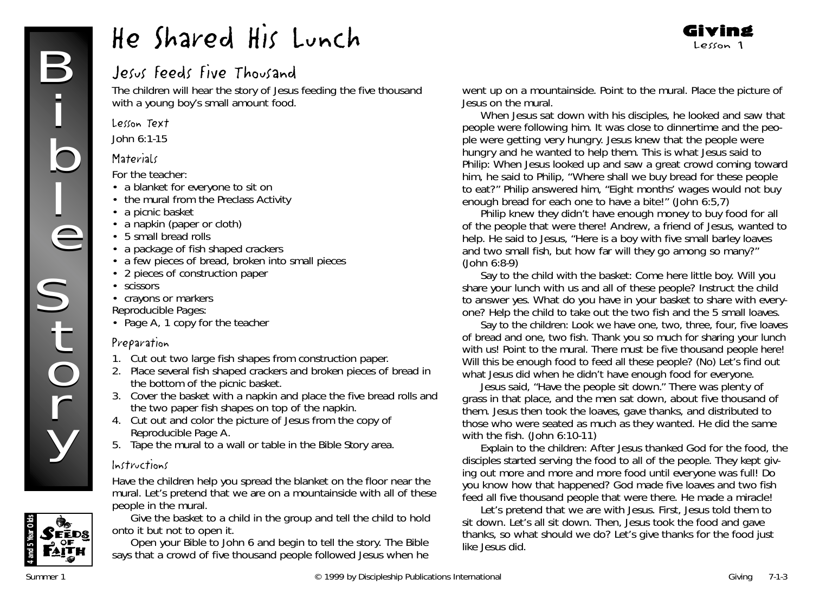# Jesus Feeds Five Thousand

The children will hear the story of Jesus feeding the five thousand with a young boy's small amount food.

#### Lesson Text

John 6:1-15

#### **Materials**

*For the teacher:*

- a blanket for everyone to sit on
- the mural from the Preclass Activity
- a picnic basket
- a napkin (paper or cloth)
- 5 small bread rolls
- a package of fish shaped crackers
- a few pieces of bread, broken into small pieces
- 2 pieces of construction paper
- scissors
- crayons or markers

*Reproducible Pages:*

• Page A, 1 copy for the teacher

## Preparation

- 1. Cut out two large fish shapes from construction paper.
- 2. Place several fish shaped crackers and broken pieces of bread in the bottom of the picnic basket.
- 3. Cover the basket with a napkin and place the five bread rolls and the two paper fish shapes on top of the napkin.
- 4. Cut out and color the picture of Jesus from the copy of Reproducible Page A.
- 5. Tape the mural to a wall or table in the Bible Story area.

## Instructions

Have the children help you spread the blanket on the floor near the mural. *Let's pretend that we are on a mountainside with all of these people in the mural*.



Give the basket to a child in the group and tell the child to hold onto it but not to open it.

Open your Bible to John 6 and begin to tell the story. *The Bible says that a crowd of five thousand people followed Jesus when he*

*went up on a mountainside*. Point to the mural. Place the picture of Jesus on the mural.

*When Jesus sat down with his disciples, he looked and saw that people were following him. It was close to dinnertime and the people were getting very hungry. Jesus knew that the people were hungry and he wanted to help them. This is what Jesus said to Philip: When Jesus looked up and saw a great crowd coming toward him, he said to Philip, "Where shall we buy bread for these people to eat?" Philip answered him, "Eight months' wages would not buy enough bread for each one to have a bite!" (John 6:5,7)*

*Philip knew they didn't have enough money to buy food for all of the people that were there! Andrew, a friend of Jesus, wanted to help. He said to Jesus, "Here is a boy with five small barley loaves and two small fish, but how far will they go among so many?"* (John 6:8-9)

Say to the child with the basket*: Come here little boy. Will you share your lunch with us and all of these people?* Instruct the child to answer yes. *What do you have in your basket to share with everyone?* Help the child to take out the two fish and the 5 small loaves.

Say to the children*: Look we have one, two, three, four, five loaves of bread and one, two fish. Thank you so much for sharing your lunch with us!* Point to the mural. *There must be five thousand people here! Will this be enough food to feed all these people?* (No*) Let's find out what Jesus did when he didn't have enough food for everyone.*

*Jesus said, "Have the people sit down." There was plenty of grass in that place, and the men sat down, about five thousand of them. Jesus then took the loaves, gave thanks, and distributed to those who were seated as much as they wanted. He did the same with the fish*. *(John 6:10-11)*

Explain to the children*: After Jesus thanked God for the food, the disciples started serving the food to all of the people. They kept giving out more and more and more food until everyone was full! Do you know how that happened? God made five loaves and two fish feed all five thousand people that were there. He made a miracle!*

*Let's pretend that we are with Jesus. First, Jesus told them to sit down. Let's all sit down. Then, Jesus took the food and gave thanks, so what should we do? Let's give thanks for the food just like Jesus did.*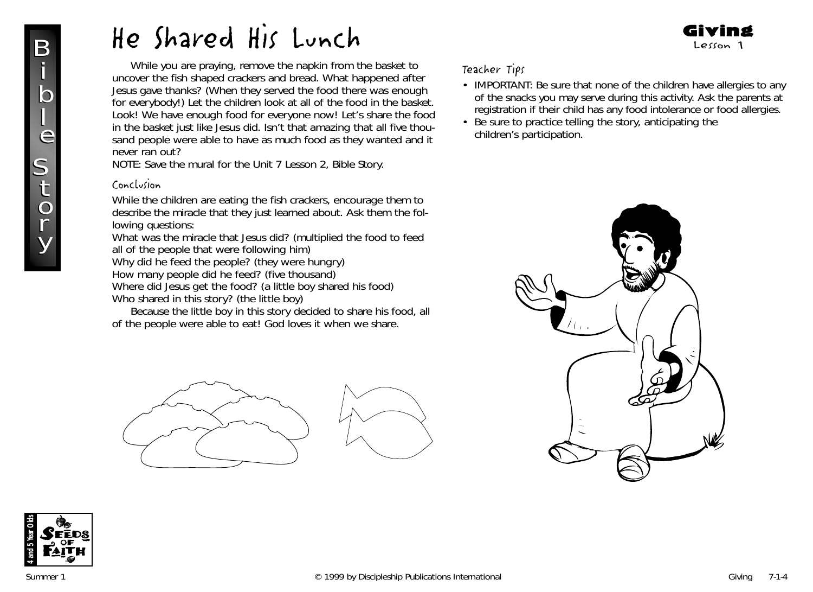While you are praying, remove the napkin from the basket to uncover the fish shaped crackers and bread. *What happened after Jesus gave thanks? (When they served the food there was enough for everybody!)* Let the children look at all of the food in the basket. *Look! We have enough food for everyone now! Let's share the food in the basket just like Jesus did. Isn't that amazing that all five thousand people were able to have as much food as they wanted and it never ran out?*

NOTE: Save the mural for the Unit 7 Lesson 2, Bible Story.

#### Conclusion

While the children are eating the fish crackers, encourage them to describe the miracle that they just learned about. Ask them the following questions:

*What was the miracle that Jesus did? (multiplied the food to feed all of the people that were following him)*

*Why did he feed the people? (they were hungry) How many people did he feed? (five thousand)*

*Where did Jesus get the food? (a little boy shared his food) Who shared in this story? (the little boy)*

*Because the little boy in this story decided to share his food, all of the people were able to eat! God loves it when we share.*



#### Teacher Tips

• IMPORTANT: Be sure that none of the children have allergies to any of the snacks you may serve during this activity. Ask the parents at registration if their child has any food intolerance or food allergies.

Giving Lesson 1

• Be sure to practice telling the story, anticipating the children's participation.



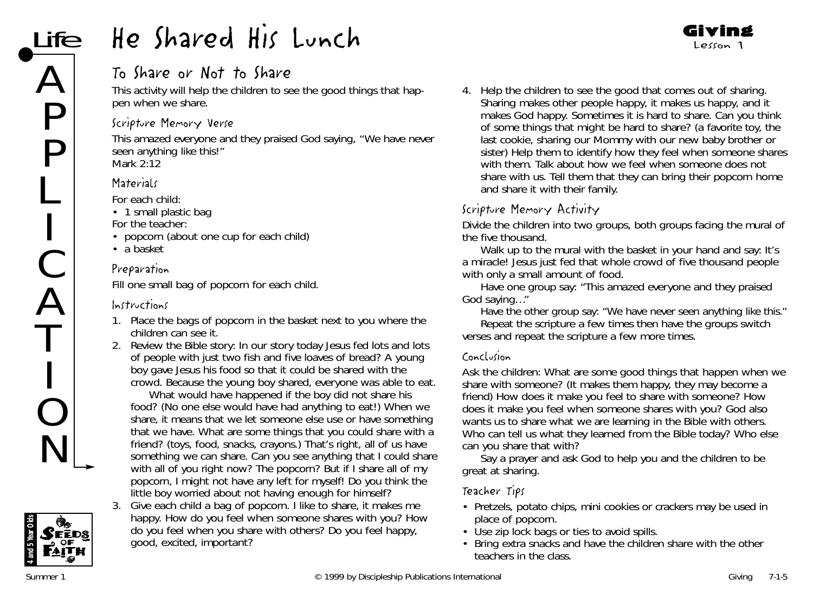# To Share or Not to Share

This activity will help the children to see the good things that happen when we share.

## Scripture Memory Verse

This amazed everyone and they praised God saying, "We have never seen anything like this!" *Mark 2:12*

# **Materials**

*For each child:*

• 1 small plastic bag

*For the teacher:*

- popcorn (about one cup for each child)
- a basket

# Preparation

Fill one small bag of popcorn for each child.

# Instructions

- 1. Place the bags of popcorn in the basket next to you where the children can see it.
- 2. Review the Bible story: *In our story today Jesus fed lots and lots of people with just two fish and five loaves of bread? A young boy gave Jesus his food so that it could be shared with the crowd. Because the young boy shared, everyone was able to eat.*

*What would have happened if the boy did not share his food? (No one else would have had anything to eat!) When we share, it means that we let someone else use or have something that we have. What are some things that you could share with a friend? (toys, food, snacks, crayons.) That's right, all of us have something we can share. Can you see anything that I could share with all of you right now? The popcorn? But if I share all of my popcorn, I might not have any left for myself! Do you think the little boy worried about not having enough for himself?*

3. Give each child a bag of popcorn. *I like to share, it makes me happy. How do you feel when someone shares with you? How do you feel when you share with others? Do you feel happy, good, excited, important?*

4. Help the children to see the good that comes out of sharing. *Sharing makes other people happy, it makes us happy, and it makes God happy. Sometimes it is hard to share. Can you think of some things that might be hard to share?* (a favorite toy, the last cookie, sharing our Mommy with our new baby brother or sister) Help them to identify how they feel when someone shares with them. Talk about how we feel when someone does not share with us. Tell them that they can bring their popcorn home and share it with their family.

Giving Lesson 1

# Scripture Memory Activity

Divide the children into two groups, both groups facing the mural of the five thousand.

Walk up to the mural with the basket in your hand and say*: It's a miracle! Jesus just fed that whole crowd of five thousand people with only a small amount of food.*

Have one group say: "*This amazed everyone and they praised God saying…"*

Have the other group say*: "We have never seen anything like this*."

Repeat the scripture a few times then have the groups switch verses and repeat the scripture a few more times.

#### Conclusion

Ask the children: *What are some good things that happen when we share with someone?* (It makes them happy, they may become a friend) *How does it make you feel to share with someone? How does it make you feel when someone shares with you? God also wants us to share what we are learning in the Bible with others. Who can tell us what they learned from the Bible today? Who else can you share that with?*

Say a prayer and ask God to help you and the children to be great at sharing.

## Teacher Tips

- Pretzels, potato chips, mini cookies or crackers may be used in place of popcorn.
- Use zip lock bags or ties to avoid spills.
- Bring extra snacks and have the children share with the other teachers in the class.

REDS.

**4 and 5 Year Olds**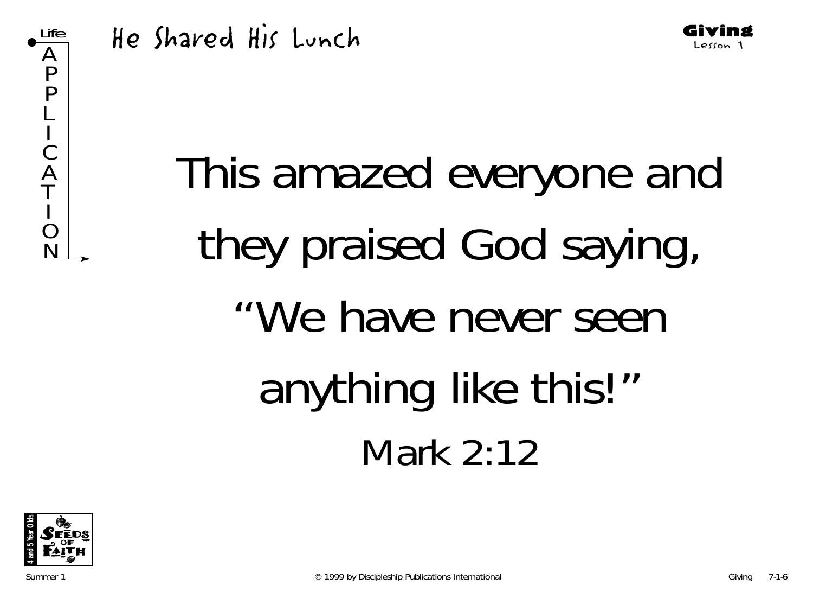





Giving Lesson 1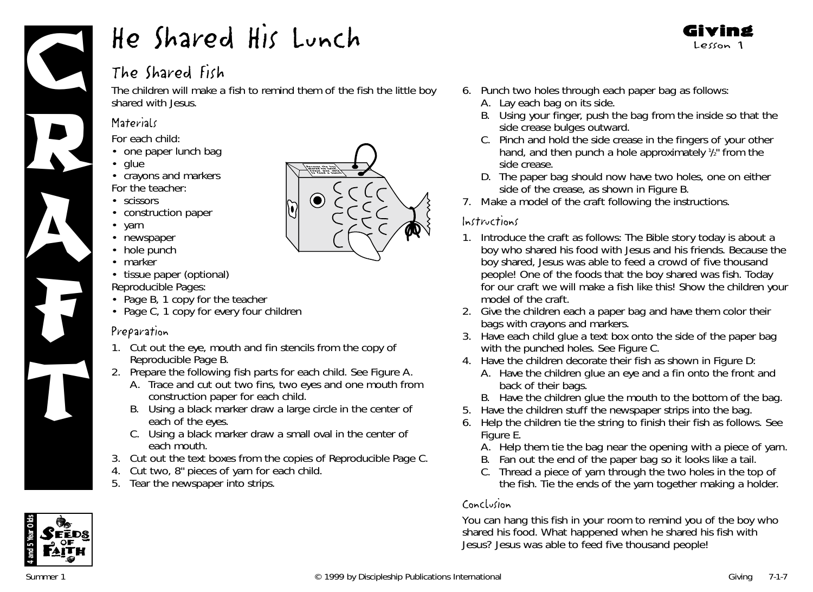

# The Shared Fish

The children will make a fish to remind them of the fish the little boy shared with Jesus.

## **Materials**

*For each child:*

- one paper lunch bag
- glue
- crayons and markers *For the teacher:*
- scissors
- construction paper
- yarr
- newspaper
- hole punch
- marker
- tissue paper (optional) *Reproducible Pages:*
- Page B, 1 copy for the teacher
- Page C, 1 copy for every four children

## Preparation

- 1. Cut out the eye, mouth and fin stencils from the copy of Reproducible Page B.
- 2. Prepare the following fish parts for each child. See Figure A.
	- A. Trace and cut out two fins, two eyes and one mouth from construction paper for each child.
	- B. Using a black marker draw a large circle in the center of each of the eyes.
	- C. Using a black marker draw a small oval in the center of each mouth.
- 3. Cut out the text boxes from the copies of Reproducible Page C.
- 4. Cut two, 8" pieces of yarn for each child.
- 5. Tear the newspaper into strips.



- 6. Punch two holes through each paper bag as follows:
	- A. Lay each bag on its side.
	- B. Using your finger, push the bag from the inside so that the side crease bulges outward.

Giving Lesson 1

- C. Pinch and hold the side crease in the fingers of your other hand, and then punch a hole approximately  $\frac{1}{2}$  from the side crease.
- D. The paper bag should now have two holes, one on either side of the crease, as shown in Figure B.
- 7. Make a model of the craft following the instructions.

#### Instructions

- 1. Introduce the craft as follows: *The Bible story today is about a boy who shared his food with Jesus and his friends. Because the boy shared, Jesus was able to feed a crowd of five thousand people! One of the foods that the boy shared was fish. Today for our craft we will make a fish like this!* Show the children your model of the craft.
- 2. Give the children each a paper bag and have them color their bags with crayons and markers.
- 3. Have each child glue a text box onto the side of the paper bag with the punched holes. See Figure C.
- 4. Have the children decorate their fish as shown in Figure D:
	- A. Have the children glue an eye and a fin onto the front and back of their bags.
	- B. Have the children glue the mouth to the bottom of the bag.
- 5. Have the children stuff the newspaper strips into the bag.
- 6. Help the children tie the string to finish their fish as follows. See Figure E.
	- A. Help them tie the bag near the opening with a piece of yarn.
	- B. Fan out the end of the paper bag so it looks like a tail.
	- C. Thread a piece of yarn through the two holes in the top of the fish. Tie the ends of the yarn together making a holder.

## Conclusion

*You can hang this fish in your room to remind you of the boy who shared his food. What happened when he shared his fish with Jesus? Jesus was able to feed five thousand people!*

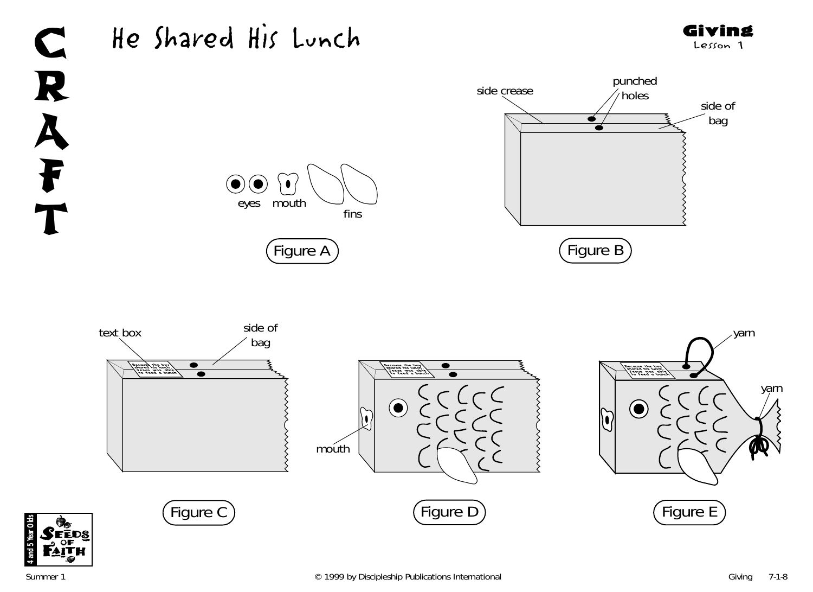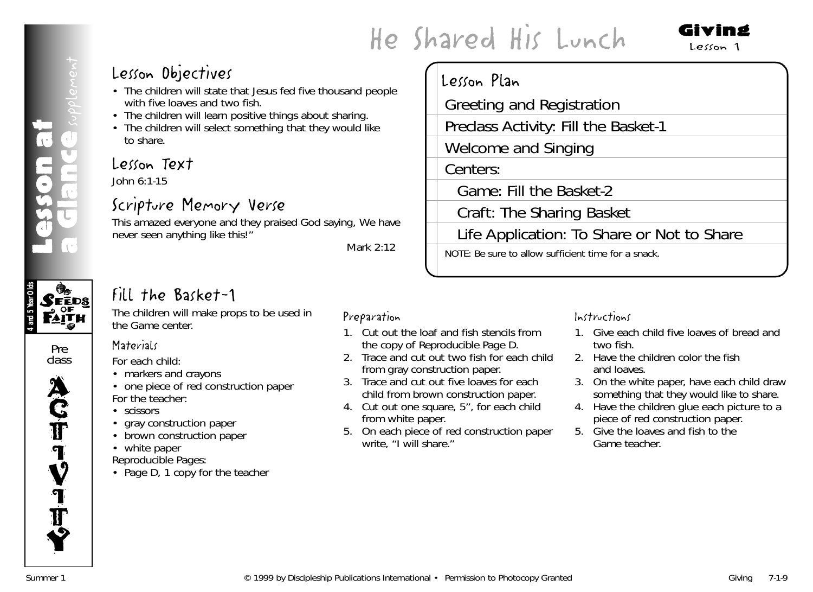Greeting and Registration

Game: Fill the Basket-2

Craft: The Sharing Basket

NOTE: Be sure to allow sufficient time for a snack.

Welcome and Singing

Preclass Activity: Fill the Basket-1

Lesson Plan

Centers:

# Lesson Objectives

- The children will state that Jesus fed five thousand people with five loaves and two fish.
- The children will learn positive things about sharing.
- The children will select something that they would like to share.

# Lesson Text

John 6:1-15

# Scripture Memory Verse

This amazed everyone and they praised God saying, We have never seen anything like this!"

*Mark 2:12*

# Fill the Basket-1

The children will make props to be used in the Game center.



**CEEDS** 

Lesson at

esson a<br>G not39

a dlance <sub>seplement</sub>

class



# **Materials**

*For each child:*

- markers and crayons
- one piece of red construction paper *For the teacher:*
- scissors
- gray construction paper
- brown construction paper
- white paper

*Reproducible Pages:*

• Page D, 1 copy for the teacher

# Preparation

- 1. Cut out the loaf and fish stencils from the copy of Reproducible Page D.
- 2. Trace and cut out two fish for each child from gray construction paper.
- 3. Trace and cut out five loaves for each child from brown construction paper.
- 4. Cut out one square, 5", for each child from white paper.
- 5. On each piece of red construction paper write, "I will share."

# Instructions

Life Application: To Share or Not to Share

1. Give each child five loaves of bread and two fish.

Giving Lesson 1

- 2. Have the children color the fish and loaves.
- 3. On the white paper, have each child draw something that they would like to share.
- 4. Have the children glue each picture to a piece of red construction paper.
- 5. Give the loaves and fish to the Game teacher.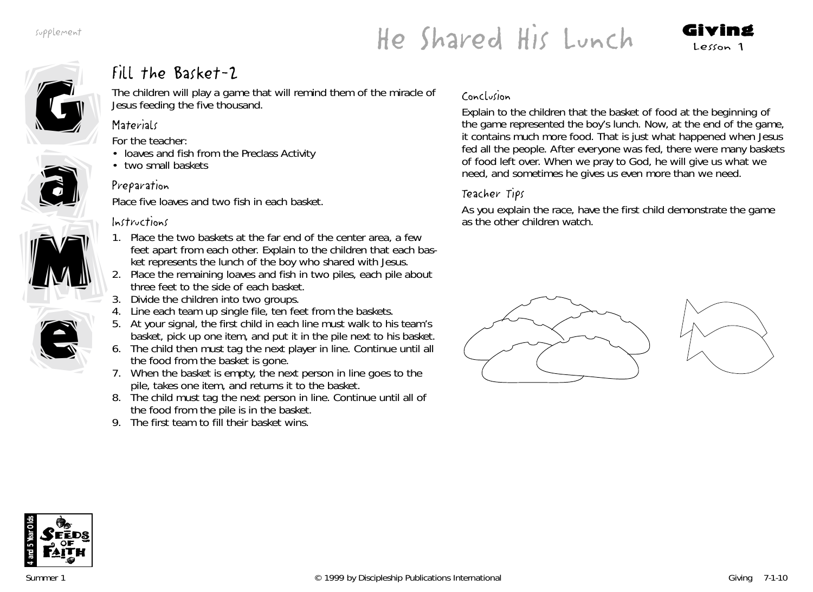# He Shared His Lunch Giving Lesson 1





a

a

M

# Fill the Basket-2

The children will play a game that will remind them of the miracle of Jesus feeding the five thousand.

## **Materials**

*For the teacher:*

- loaves and fish from the Preclass Activity
- two small baskets

# Preparation

Place five loaves and two fish in each basket.

## Instructions

- 1. Place the two baskets at the far end of the center area, a few feet apart from each other. Explain to the children that each basket represents the lunch of the boy who shared with Jesus. M
	- 2. Place the remaining loaves and fish in two piles, each pile about three feet to the side of each basket.
	- 3. Divide the children into two groups.
	- Line each team up single file, ten feet from the baskets.
	- 5. At your signal, the first child in each line must walk to his team's basket, pick up one item, and put it in the pile next to his basket.
	- 6. The child then must tag the next player in line. Continue until all the food from the basket is gone.
	- 7. When the basket is empty, the next person in line goes to the pile, takes one item, and returns it to the basket.
	- 8. The child must tag the next person in line. Continue until all of the food from the pile is in the basket.
	- 9. The first team to fill their basket wins.

## Conclusion

Explain to the children that the basket of food at the beginning of the game represented the boy's lunch. Now, at the end of the game, it contains much more food. *That is just what happened when Jesus fed all the people. After everyone was fed, there were many baskets of food left over. When we pray to God, he will give us what we need, and sometimes he gives us even more than we need.*

# Teacher Tips

As you explain the race, have the first child demonstrate the game as the other children watch.





e

e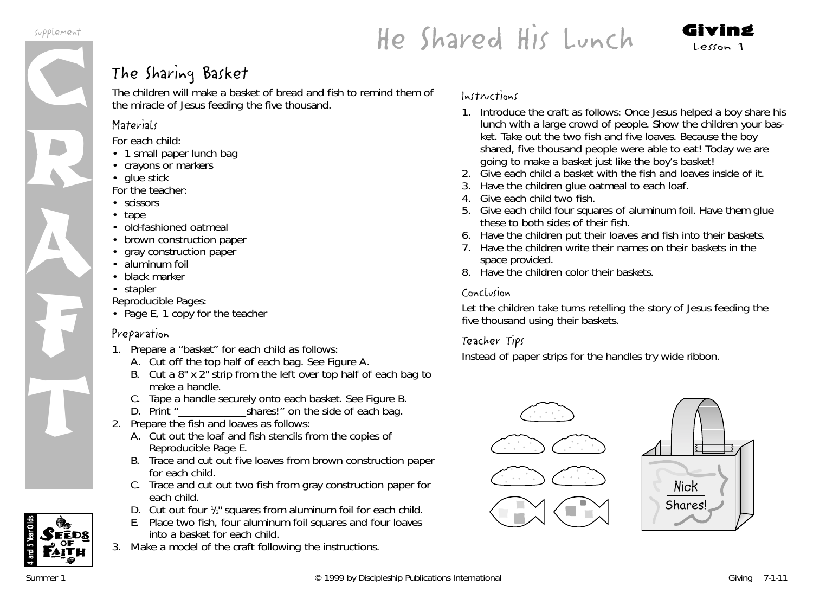R

A

F

T



# The Sharing Basket

The children will make a basket of bread and fish to remind them of the miracle of Jesus feeding the five thousand.

# **Materials**

*For each child:*

- 1 small paper lunch bag
- crayons or markers
- glue stick

*For the teacher:*

- scissors
- tape
- old-fashioned oatmeal
- brown construction paper
- gray construction paper
- aluminum foil
- black marker
- stapler

*Reproducible Pages:*

• Page E, 1 copy for the teacher

# Preparation

- 1. Prepare a "basket" for each child as follows:
	- A. Cut off the top half of each bag. See Figure A.
	- B. Cut a 8" x 2" strip from the left over top half of each bag to make a handle.
	- C. Tape a handle securely onto each basket. See Figure B.<br>D. Print "shares!" on the side of each bag.
	- shares!" on the side of each bag.
- 2. Prepare the fish and loaves as follows:
	- A. Cut out the loaf and fish stencils from the copies of Reproducible Page E.
	- B. Trace and cut out five loaves from brown construction paper for each child.
	- C. Trace and cut out two fish from gray construction paper for each child.
	- D. Cut out four  $\frac{1}{2}$  squares from aluminum foil for each child.
	- E. Place two fish, four aluminum foil squares and four loaves into a basket for each child.
- 3. Make a model of the craft following the instructions.

### Instructions

- 1. Introduce the craft as follows: *Once Jesus helped a boy share his lunch with a large crowd of people.* Show the children your basket. Take out the two fish and five loaves. *Because the boy shared, five thousand people were able to eat! Today we are going to make a basket just like the boy's basket!*
- 2. Give each child a basket with the fish and loaves inside of it.
- 3. Have the children glue oatmeal to each loaf.
- 4. Give each child two fish.
- 5. Give each child four squares of aluminum foil. Have them glue these to both sides of their fish.
- 6. Have the children put their loaves and fish into their baskets.
- 7. Have the children write their names on their baskets in the space provided.
- 8. Have the children color their baskets.

# Conclusion

Let the children take turns retelling the story of Jesus feeding the five thousand using their baskets.

# Teacher Tips

Instead of paper strips for the handles try wide ribbon.





**4 and 5 Year Olds**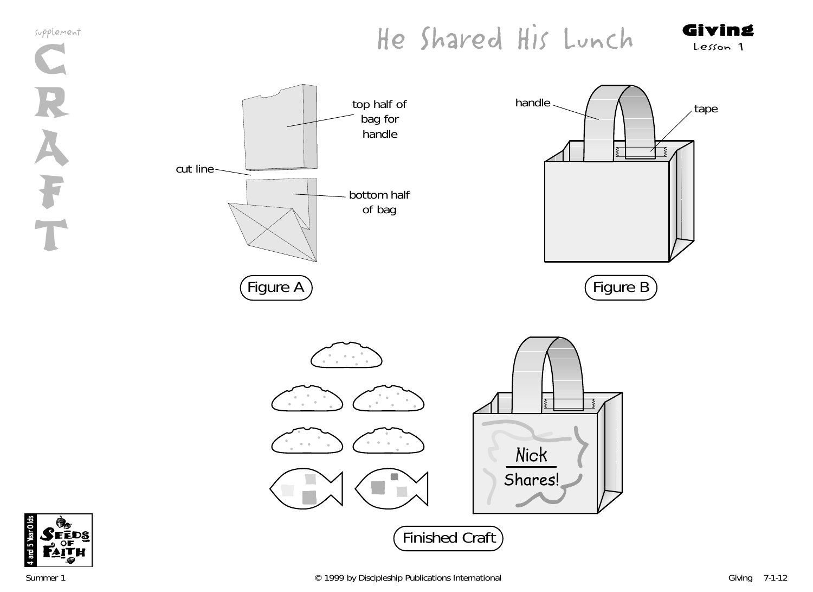# He Shared His Lunch Giving



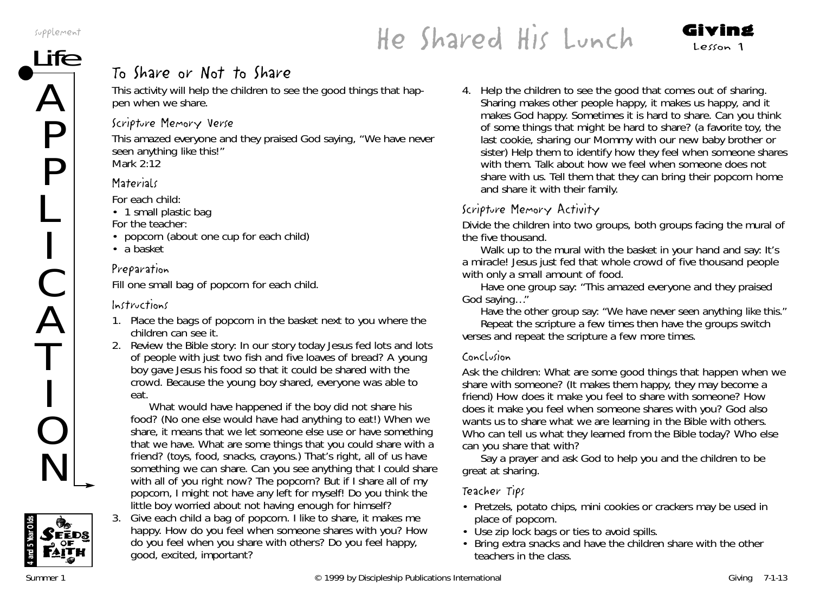A

P

P

L

C

A

T

O

N

# $He Shared His Lunch$  Lunch Giving

# To Share or Not to Share

This activity will help the children to see the good things that happen when we share.

#### Scripture Memory Verse

This amazed everyone and they praised God saying, "We have never seen anything like this!" *Mark 2:12*

### **Materials**

*For each child:*

• 1 small plastic bag

*For the teacher:*

- popcorn (about one cup for each child)
- a basket

### Preparation

Fill one small bag of popcorn for each child.

## Instructions

- 1. Place the bags of popcorn in the basket next to you where the children can see it.
- 2. Review the Bible story: *In our story today Jesus fed lots and lots of people with just two fish and five loaves of bread? A young boy gave Jesus his food so that it could be shared with the crowd. Because the young boy shared, everyone was able to eat.*

*What would have happened if the boy did not share his food? (No one else would have had anything to eat!) When we share, it means that we let someone else use or have something that we have. What are some things that you could share with a friend? (toys, food, snacks, crayons.) That's right, all of us have something we can share. Can you see anything that I could share with all of you right now? The popcorn? But if I share all of my popcorn, I might not have any left for myself! Do you think the little boy worried about not having enough for himself?*

3. Give each child a bag of popcorn. *I like to share, it makes me happy. How do you feel when someone shares with you? How do you feel when you share with others? Do you feel happy, good, excited, important?*

4. Help the children to see the good that comes out of sharing. *Sharing makes other people happy, it makes us happy, and it makes God happy. Sometimes it is hard to share. Can you think of some things that might be hard to share?* (a favorite toy, the last cookie, sharing our Mommy with our new baby brother or sister) Help them to identify how they feel when someone shares with them. Talk about how we feel when someone does not share with us. Tell them that they can bring their popcorn home and share it with their family.

# Scripture Memory Activity

Divide the children into two groups, both groups facing the mural of the five thousand.

Walk up to the mural with the basket in your hand and say*: It's a miracle! Jesus just fed that whole crowd of five thousand people with only a small amount of food.*

Have one group say: "*This amazed everyone and they praised God saying…"*

Have the other group say*: "We have never seen anything like this*."

Repeat the scripture a few times then have the groups switch verses and repeat the scripture a few more times.

#### Conclusion

Ask the children: *What are some good things that happen when we share with someone?* (It makes them happy, they may become a friend) *How does it make you feel to share with someone? How does it make you feel when someone shares with you? God also wants us to share what we are learning in the Bible with others. Who can tell us what they learned from the Bible today? Who else can you share that with?*

Say a prayer and ask God to help you and the children to be great at sharing.

## Teacher Tips

- Pretzels, potato chips, mini cookies or crackers may be used in place of popcorn.
- Use zip lock bags or ties to avoid spills.
- Bring extra snacks and have the children share with the other teachers in the class.

Seeds

**4 and 5 Year Olds**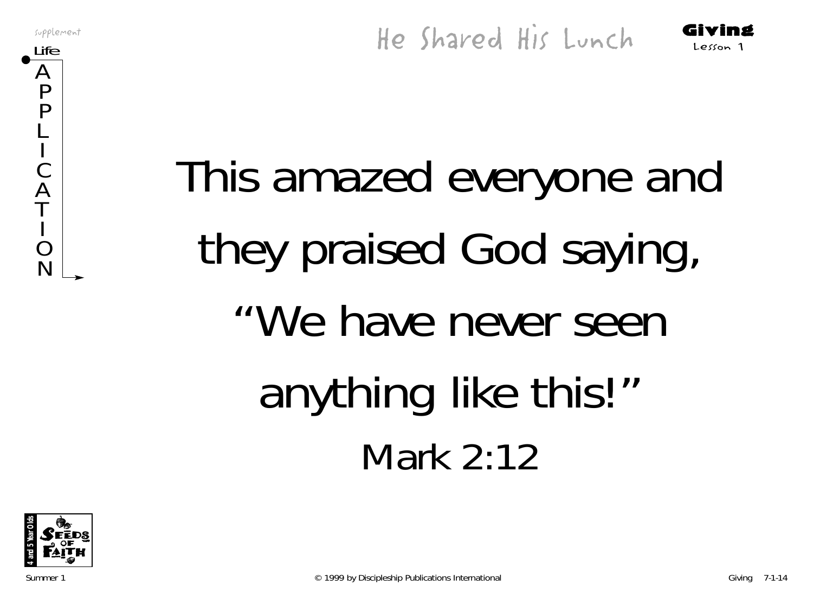$\boldsymbol{\mathsf{A}}$ P P L

C  $\boldsymbol{\mathcal{L}}$ T

O N

# This amazed everyone and they praised God saying, "We have never seen anything like this!" Mark 2:12

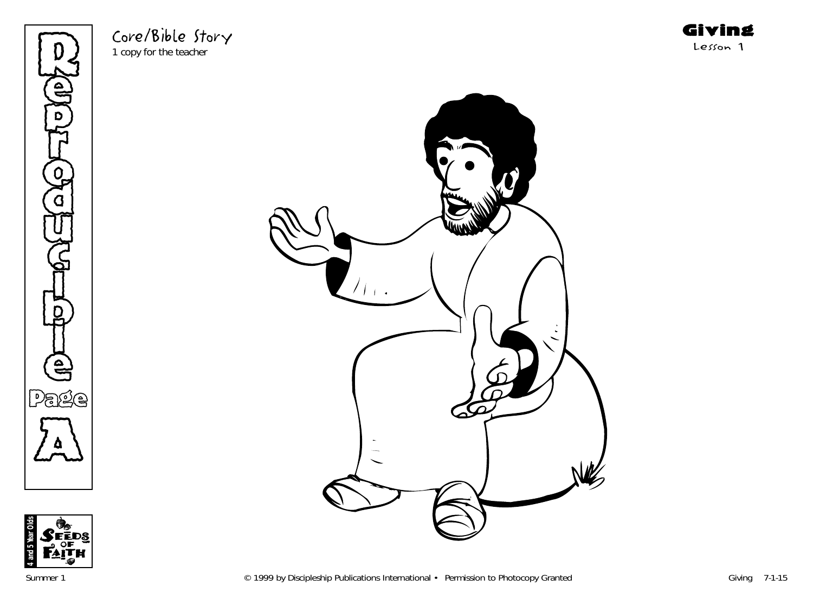Refer p **THE** o  $\bf \widetilde{G}$ u  $\mathbb{G}% _{n}^{X}$ )<br>D to H l e Page  $\sum_{\Delta}$ 

Core/Bible Story 1 copy for the teacher



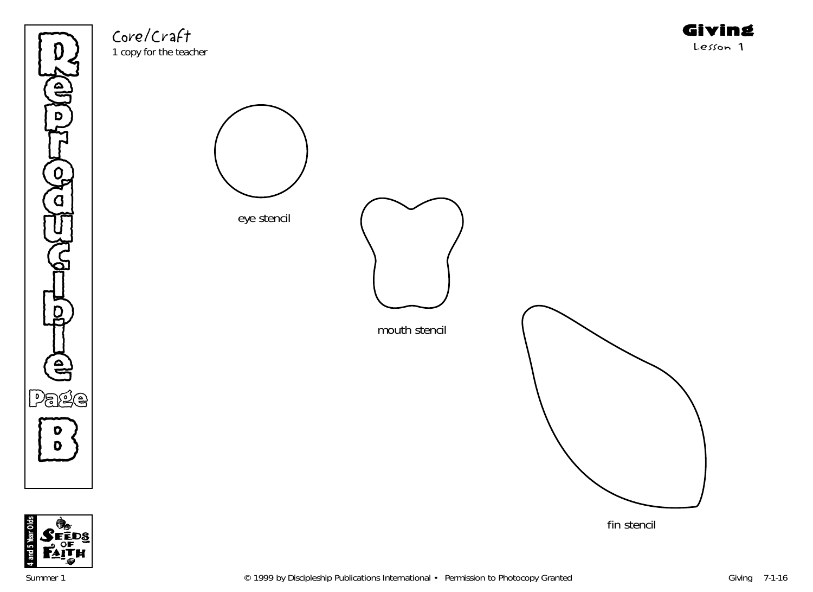

Core/Craft 1 copy for the teacher Giving Lesson 1



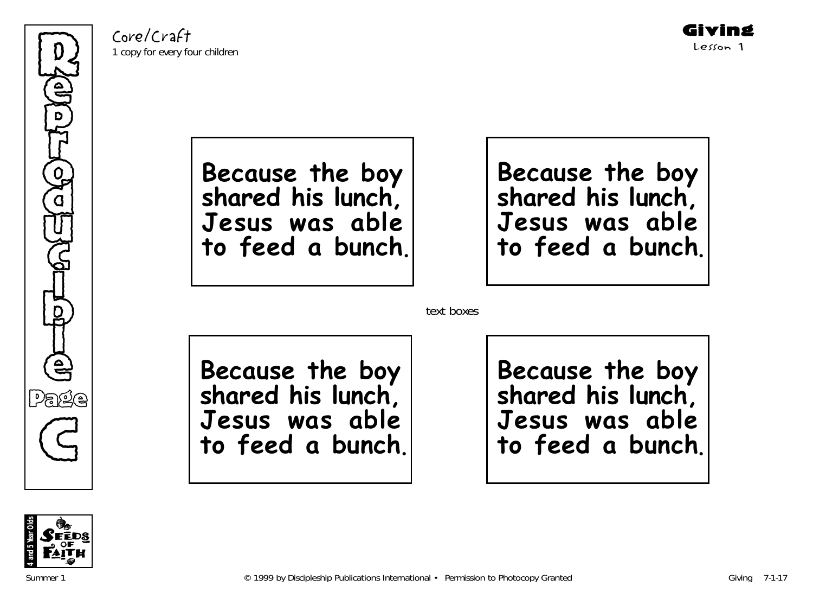Core/Craft 1 copy for every four children



**Because the boy shared his lunch, Jesus was able to feed a bunch** .

**Because the boy shared his lunch, Jesus was able to feed a bunch**.

text boxes

**Because the boy shared his lunch, Jesus was able to feed a bunch**.

**Because the boy shared his lunch, Jesus was able to feed a bunch**.

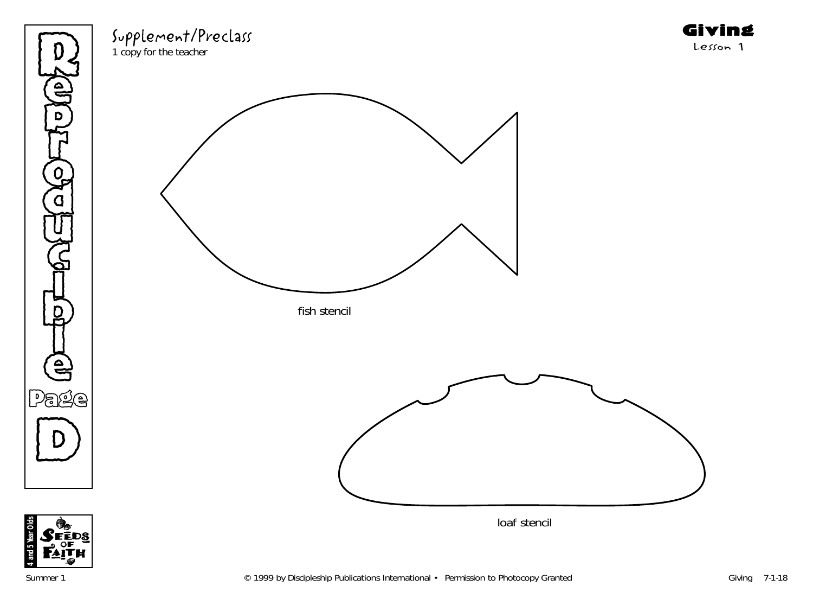



Supplement/Preclass

1 copy for the teacher



Giving Lesson 1

**4 and 5 Year Olds**

tear Olds